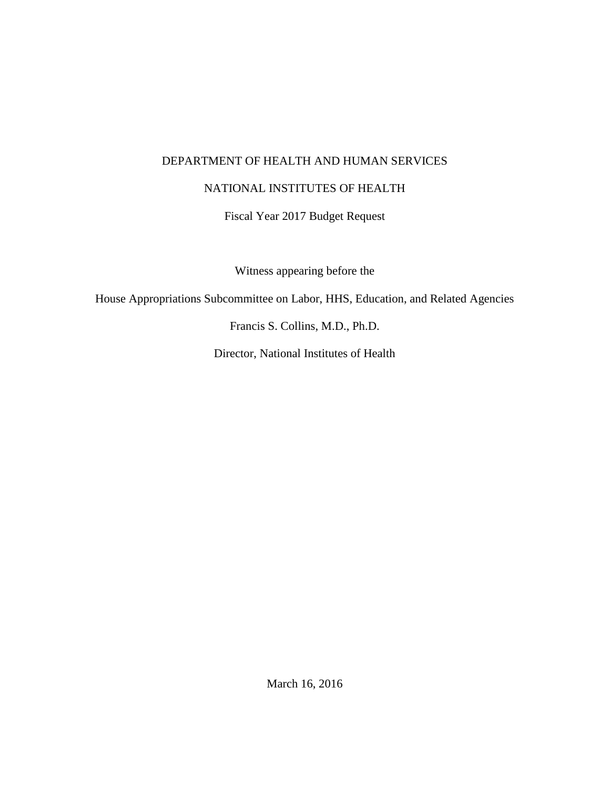## DEPARTMENT OF HEALTH AND HUMAN SERVICES

## NATIONAL INSTITUTES OF HEALTH

Fiscal Year 2017 Budget Request

Witness appearing before the

House Appropriations Subcommittee on Labor, HHS, Education, and Related Agencies

Francis S. Collins, M.D., Ph.D.

Director, National Institutes of Health

March 16, 2016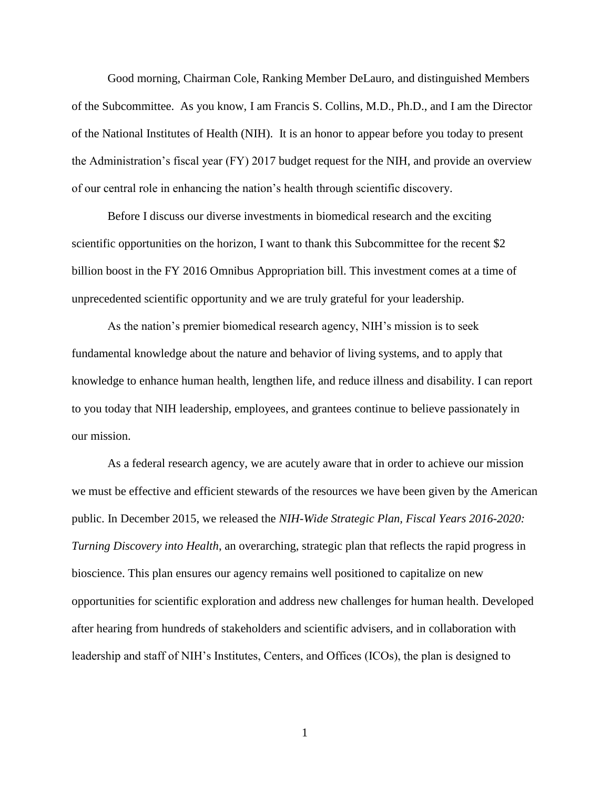Good morning, Chairman Cole, Ranking Member DeLauro, and distinguished Members of the Subcommittee. As you know, I am Francis S. Collins, M.D., Ph.D., and I am the Director of the National Institutes of Health (NIH). It is an honor to appear before you today to present the Administration's fiscal year (FY) 2017 budget request for the NIH, and provide an overview of our central role in enhancing the nation's health through scientific discovery.

Before I discuss our diverse investments in biomedical research and the exciting scientific opportunities on the horizon, I want to thank this Subcommittee for the recent \$2 billion boost in the FY 2016 Omnibus Appropriation bill. This investment comes at a time of unprecedented scientific opportunity and we are truly grateful for your leadership.

As the nation's premier biomedical research agency, NIH's mission is to seek fundamental knowledge about the nature and behavior of living systems, and to apply that knowledge to enhance human health, lengthen life, and reduce illness and disability. I can report to you today that NIH leadership, employees, and grantees continue to believe passionately in our mission.

As a federal research agency, we are acutely aware that in order to achieve our mission we must be effective and efficient stewards of the resources we have been given by the American public. In December 2015, we released the *NIH-Wide Strategic Plan, Fiscal Years 2016-2020: Turning Discovery into Health*, an overarching, strategic plan that reflects the rapid progress in bioscience. This plan ensures our agency remains well positioned to capitalize on new opportunities for scientific exploration and address new challenges for human health. Developed after hearing from hundreds of stakeholders and scientific advisers, and in collaboration with leadership and staff of NIH's Institutes, Centers, and Offices (ICOs), the plan is designed to

1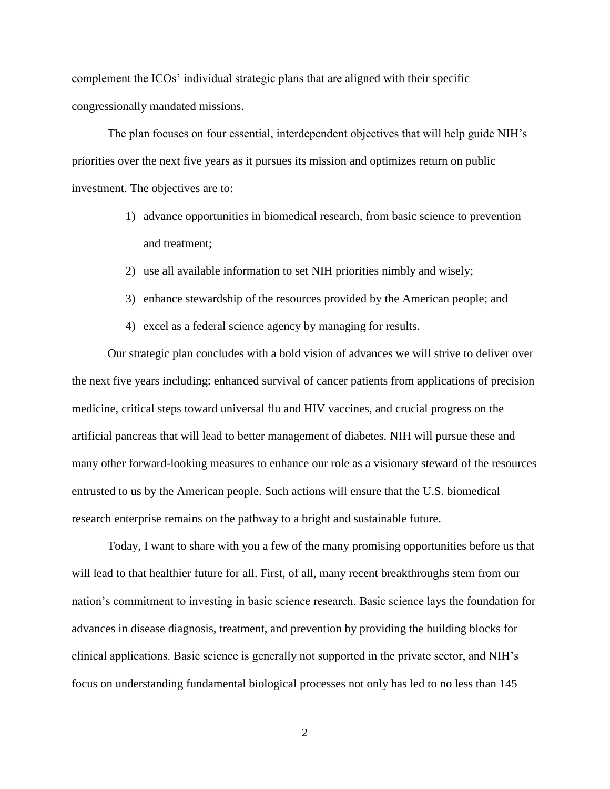complement the ICOs' individual strategic plans that are aligned with their specific congressionally mandated missions.

The plan focuses on four essential, interdependent objectives that will help guide NIH's priorities over the next five years as it pursues its mission and optimizes return on public investment. The objectives are to:

- 1) advance opportunities in biomedical research, from basic science to prevention and treatment;
- 2) use all available information to set NIH priorities nimbly and wisely;
- 3) enhance stewardship of the resources provided by the American people; and
- 4) excel as a federal science agency by managing for results.

Our strategic plan concludes with a bold vision of advances we will strive to deliver over the next five years including: enhanced survival of cancer patients from applications of precision medicine, critical steps toward universal flu and HIV vaccines, and crucial progress on the artificial pancreas that will lead to better management of diabetes. NIH will pursue these and many other forward-looking measures to enhance our role as a visionary steward of the resources entrusted to us by the American people. Such actions will ensure that the U.S. biomedical research enterprise remains on the pathway to a bright and sustainable future.

Today, I want to share with you a few of the many promising opportunities before us that will lead to that healthier future for all. First, of all, many recent breakthroughs stem from our nation's commitment to investing in basic science research. Basic science lays the foundation for advances in disease diagnosis, treatment, and prevention by providing the building blocks for clinical applications. Basic science is generally not supported in the private sector, and NIH's focus on understanding fundamental biological processes not only has led to no less than 145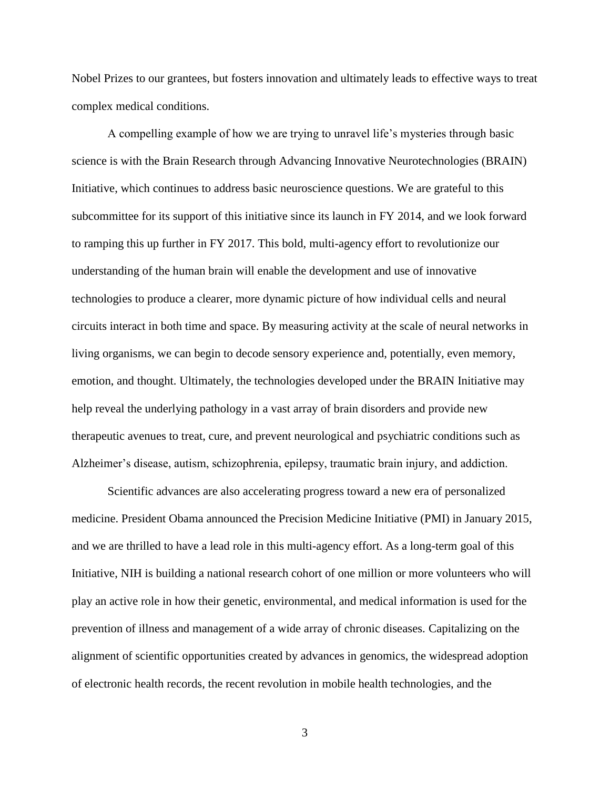Nobel Prizes to our grantees, but fosters innovation and ultimately leads to effective ways to treat complex medical conditions.

A compelling example of how we are trying to unravel life's mysteries through basic science is with the Brain Research through Advancing Innovative Neurotechnologies (BRAIN) Initiative, which continues to address basic neuroscience questions. We are grateful to this subcommittee for its support of this initiative since its launch in FY 2014, and we look forward to ramping this up further in FY 2017. This bold, multi-agency effort to revolutionize our understanding of the human brain will enable the development and use of innovative technologies to produce a clearer, more dynamic picture of how individual cells and neural circuits interact in both time and space. By measuring activity at the scale of neural networks in living organisms, we can begin to decode sensory experience and, potentially, even memory, emotion, and thought. Ultimately, the technologies developed under the BRAIN Initiative may help reveal the underlying pathology in a vast array of brain disorders and provide new therapeutic avenues to treat, cure, and prevent neurological and psychiatric conditions such as Alzheimer's disease, autism, schizophrenia, epilepsy, traumatic brain injury, and addiction.

Scientific advances are also accelerating progress toward a new era of personalized medicine. President Obama announced the Precision Medicine Initiative (PMI) in January 2015, and we are thrilled to have a lead role in this multi-agency effort. As a long-term goal of this Initiative, NIH is building a national research cohort of one million or more volunteers who will play an active role in how their genetic, environmental, and medical information is used for the prevention of illness and management of a wide array of chronic diseases. Capitalizing on the alignment of scientific opportunities created by advances in genomics, the widespread adoption of electronic health records, the recent revolution in mobile health technologies, and the

3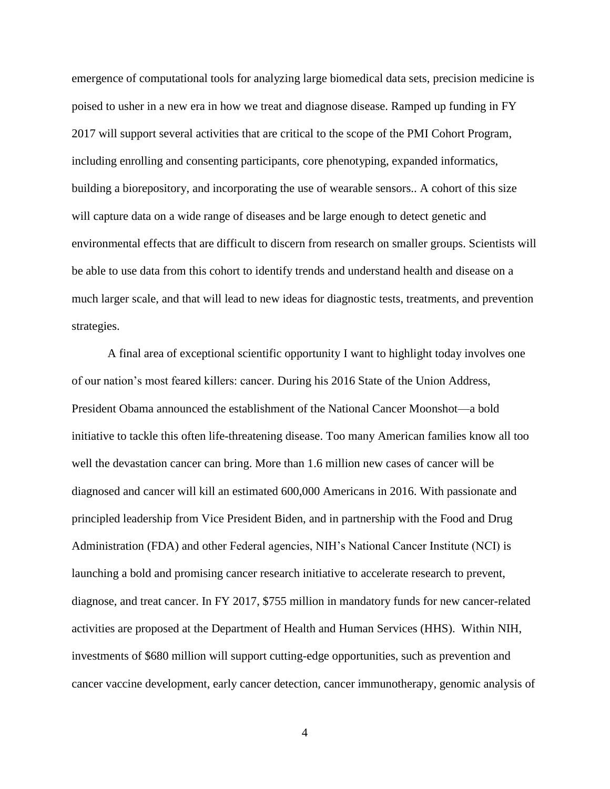emergence of computational tools for analyzing large biomedical data sets, precision medicine is poised to usher in a new era in how we treat and diagnose disease. Ramped up funding in FY 2017 will support several activities that are critical to the scope of the PMI Cohort Program, including enrolling and consenting participants, core phenotyping, expanded informatics, building a biorepository, and incorporating the use of wearable sensors.. A cohort of this size will capture data on a wide range of diseases and be large enough to detect genetic and environmental effects that are difficult to discern from research on smaller groups. Scientists will be able to use data from this cohort to identify trends and understand health and disease on a much larger scale, and that will lead to new ideas for diagnostic tests, treatments, and prevention strategies.

A final area of exceptional scientific opportunity I want to highlight today involves one of our nation's most feared killers: cancer. During his 2016 State of the Union Address, President Obama announced the establishment of the National Cancer Moonshot—a bold initiative to tackle this often life-threatening disease. Too many American families know all too well the devastation cancer can bring. More than 1.6 million new cases of cancer will be diagnosed and cancer will kill an estimated 600,000 Americans in 2016. With passionate and principled leadership from Vice President Biden, and in partnership with the Food and Drug Administration (FDA) and other Federal agencies, NIH's National Cancer Institute (NCI) is launching a bold and promising cancer research initiative to accelerate research to prevent, diagnose, and treat cancer. In FY 2017, \$755 million in mandatory funds for new cancer-related activities are proposed at the Department of Health and Human Services (HHS). Within NIH, investments of \$680 million will support cutting-edge opportunities, such as prevention and cancer vaccine development, early cancer detection, cancer immunotherapy, genomic analysis of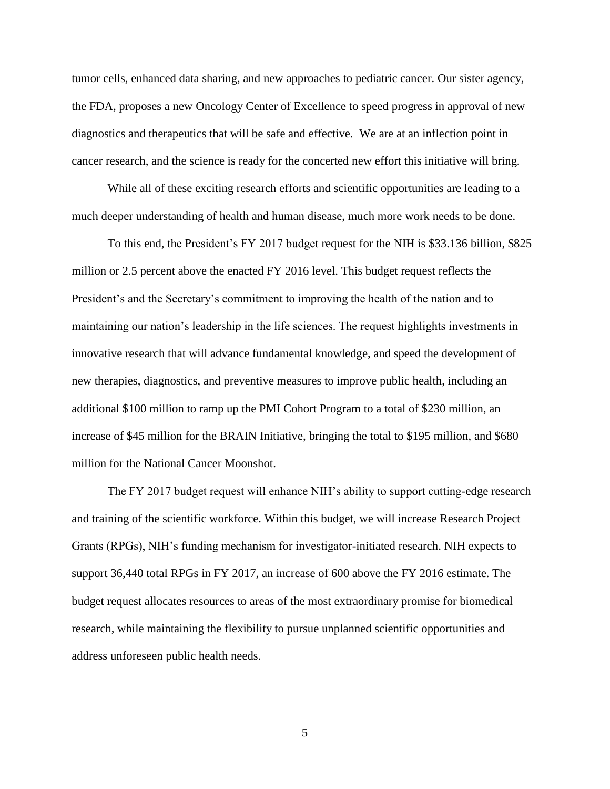tumor cells, enhanced data sharing, and new approaches to pediatric cancer. Our sister agency, the FDA, proposes a new Oncology Center of Excellence to speed progress in approval of new diagnostics and therapeutics that will be safe and effective. We are at an inflection point in cancer research, and the science is ready for the concerted new effort this initiative will bring.

While all of these exciting research efforts and scientific opportunities are leading to a much deeper understanding of health and human disease, much more work needs to be done.

To this end, the President's FY 2017 budget request for the NIH is \$33.136 billion, \$825 million or 2.5 percent above the enacted FY 2016 level. This budget request reflects the President's and the Secretary's commitment to improving the health of the nation and to maintaining our nation's leadership in the life sciences. The request highlights investments in innovative research that will advance fundamental knowledge, and speed the development of new therapies, diagnostics, and preventive measures to improve public health, including an additional \$100 million to ramp up the PMI Cohort Program to a total of \$230 million, an increase of \$45 million for the BRAIN Initiative, bringing the total to \$195 million, and \$680 million for the National Cancer Moonshot.

The FY 2017 budget request will enhance NIH's ability to support cutting-edge research and training of the scientific workforce. Within this budget, we will increase Research Project Grants (RPGs), NIH's funding mechanism for investigator-initiated research. NIH expects to support 36,440 total RPGs in FY 2017, an increase of 600 above the FY 2016 estimate. The budget request allocates resources to areas of the most extraordinary promise for biomedical research, while maintaining the flexibility to pursue unplanned scientific opportunities and address unforeseen public health needs.

5